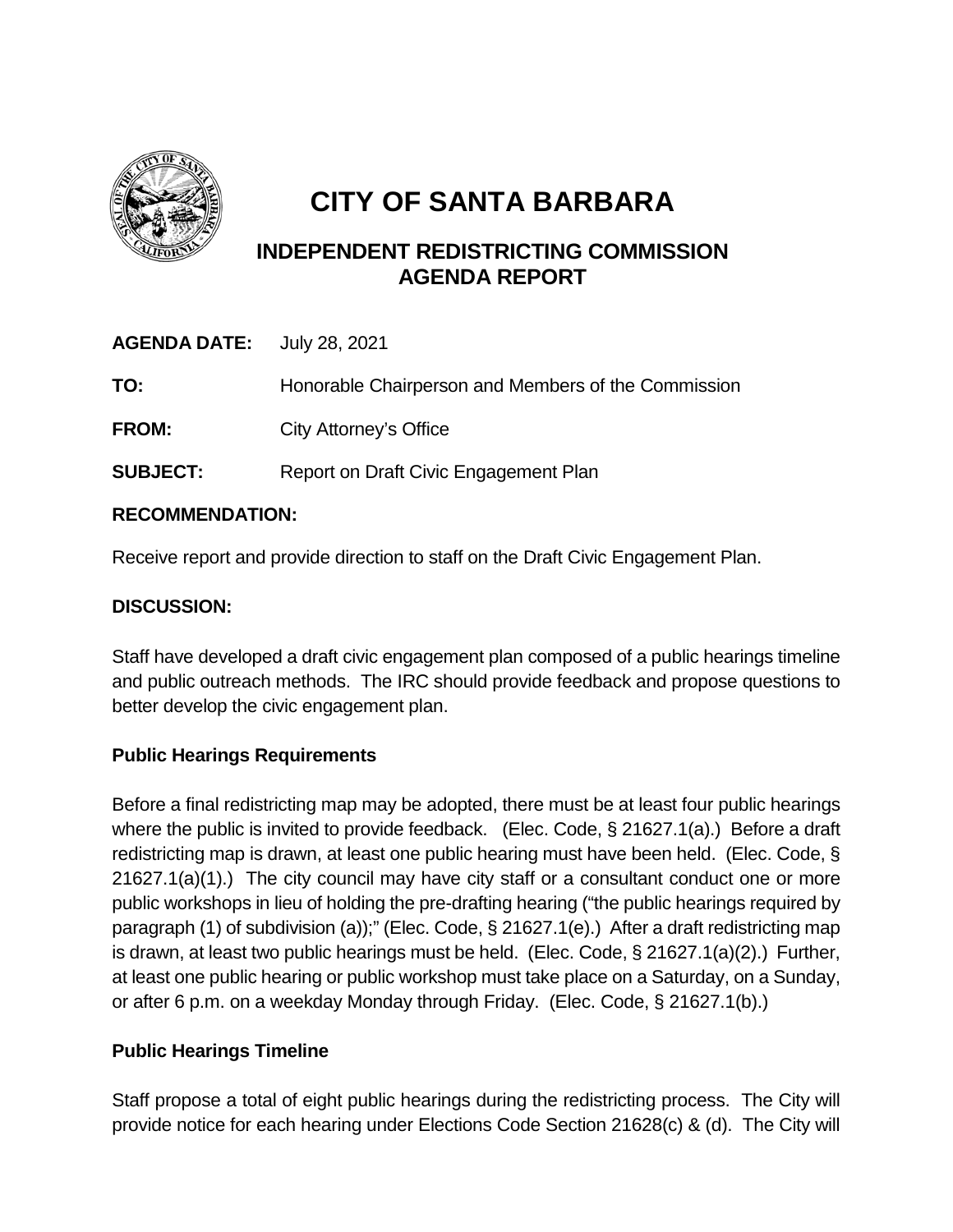

# **CITY OF SANTA BARBARA**

## **INDEPENDENT REDISTRICTING COMMISSION AGENDA REPORT**

| <b>AGENDA DATE:</b> July 28, 2021 |                                                     |
|-----------------------------------|-----------------------------------------------------|
| TO:                               | Honorable Chairperson and Members of the Commission |
| <b>FROM:</b>                      | City Attorney's Office                              |
| <b>SUBJECT:</b>                   | Report on Draft Civic Engagement Plan               |

### **RECOMMENDATION:**

Receive report and provide direction to staff on the Draft Civic Engagement Plan.

#### **DISCUSSION:**

Staff have developed a draft civic engagement plan composed of a public hearings timeline and public outreach methods. The IRC should provide feedback and propose questions to better develop the civic engagement plan.

### **Public Hearings Requirements**

Before a final redistricting map may be adopted, there must be at least four public hearings where the public is invited to provide feedback. (Elec. Code, § 21627.1(a).) Before a draft redistricting map is drawn, at least one public hearing must have been held. (Elec. Code, § 21627.1(a)(1).) The city council may have city staff or a consultant conduct one or more public workshops in lieu of holding the pre-drafting hearing ("the public hearings required by paragraph (1) of subdivision (a));" (Elec. Code, § 21627.1(e).) After a draft redistricting map is drawn, at least two public hearings must be held. (Elec. Code, § 21627.1(a)(2).) Further, at least one public hearing or public workshop must take place on a Saturday, on a Sunday, or after 6 p.m. on a weekday Monday through Friday. (Elec. Code, § 21627.1(b).)

### **Public Hearings Timeline**

Staff propose a total of eight public hearings during the redistricting process. The City will provide notice for each hearing under Elections Code Section 21628(c) & (d). The City will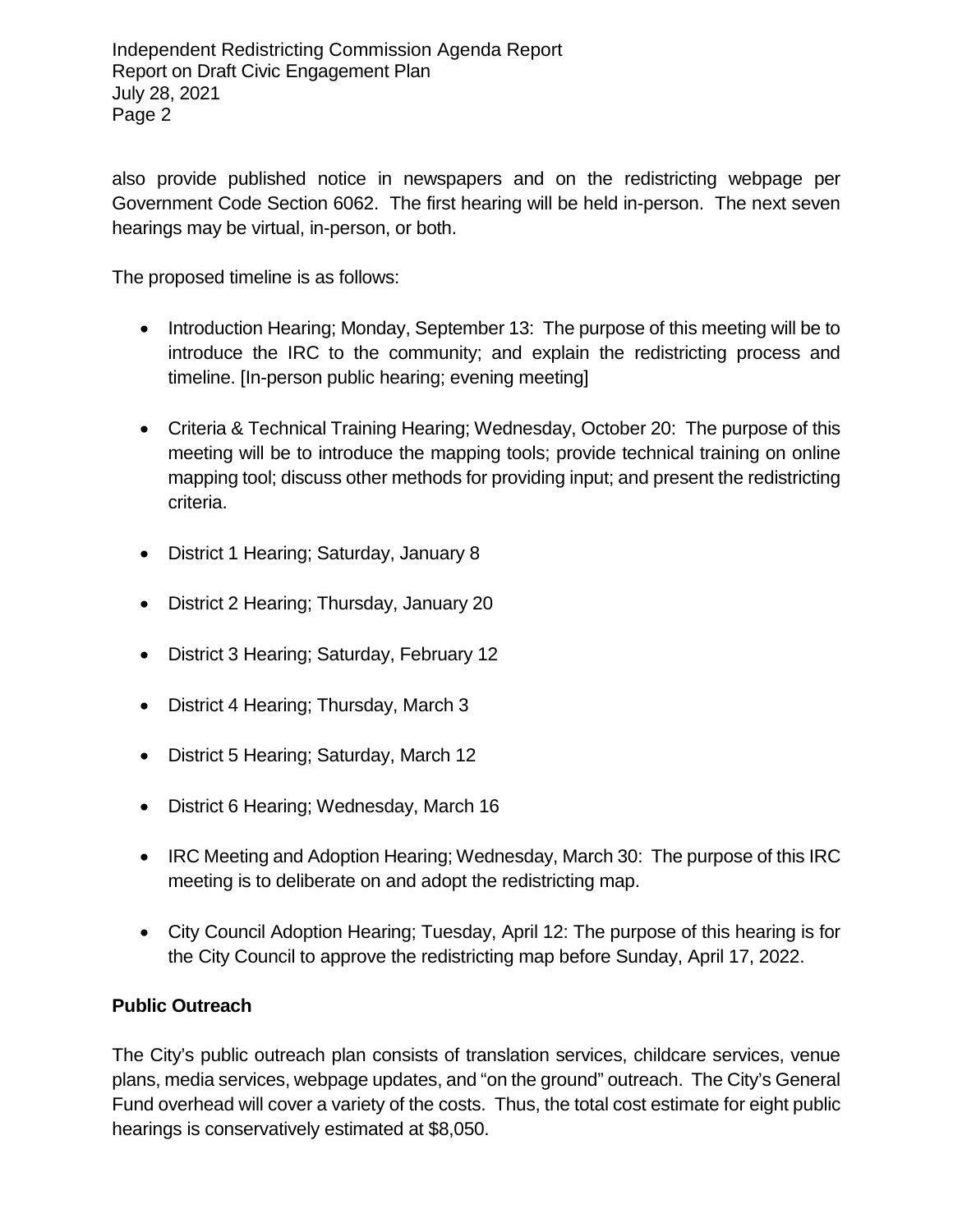Independent Redistricting Commission Agenda Report Report on Draft Civic Engagement Plan July 28, 2021 Page 2

also provide published notice in newspapers and on the redistricting webpage per Government Code Section 6062. The first hearing will be held in-person. The next seven hearings may be virtual, in-person, or both.

The proposed timeline is as follows:

- Introduction Hearing; Monday, September 13: The purpose of this meeting will be to introduce the IRC to the community; and explain the redistricting process and timeline. [In-person public hearing; evening meeting]
- Criteria & Technical Training Hearing; Wednesday, October 20: The purpose of this meeting will be to introduce the mapping tools; provide technical training on online mapping tool; discuss other methods for providing input; and present the redistricting criteria.
- District 1 Hearing; Saturday, January 8
- District 2 Hearing; Thursday, January 20
- District 3 Hearing; Saturday, February 12
- District 4 Hearing; Thursday, March 3
- District 5 Hearing; Saturday, March 12
- District 6 Hearing; Wednesday, March 16
- IRC Meeting and Adoption Hearing; Wednesday, March 30: The purpose of this IRC meeting is to deliberate on and adopt the redistricting map.
- City Council Adoption Hearing; Tuesday, April 12: The purpose of this hearing is for the City Council to approve the redistricting map before Sunday, April 17, 2022.

#### **Public Outreach**

The City's public outreach plan consists of translation services, childcare services, venue plans, media services, webpage updates, and "on the ground" outreach. The City's General Fund overhead will cover a variety of the costs. Thus, the total cost estimate for eight public hearings is conservatively estimated at \$8,050.